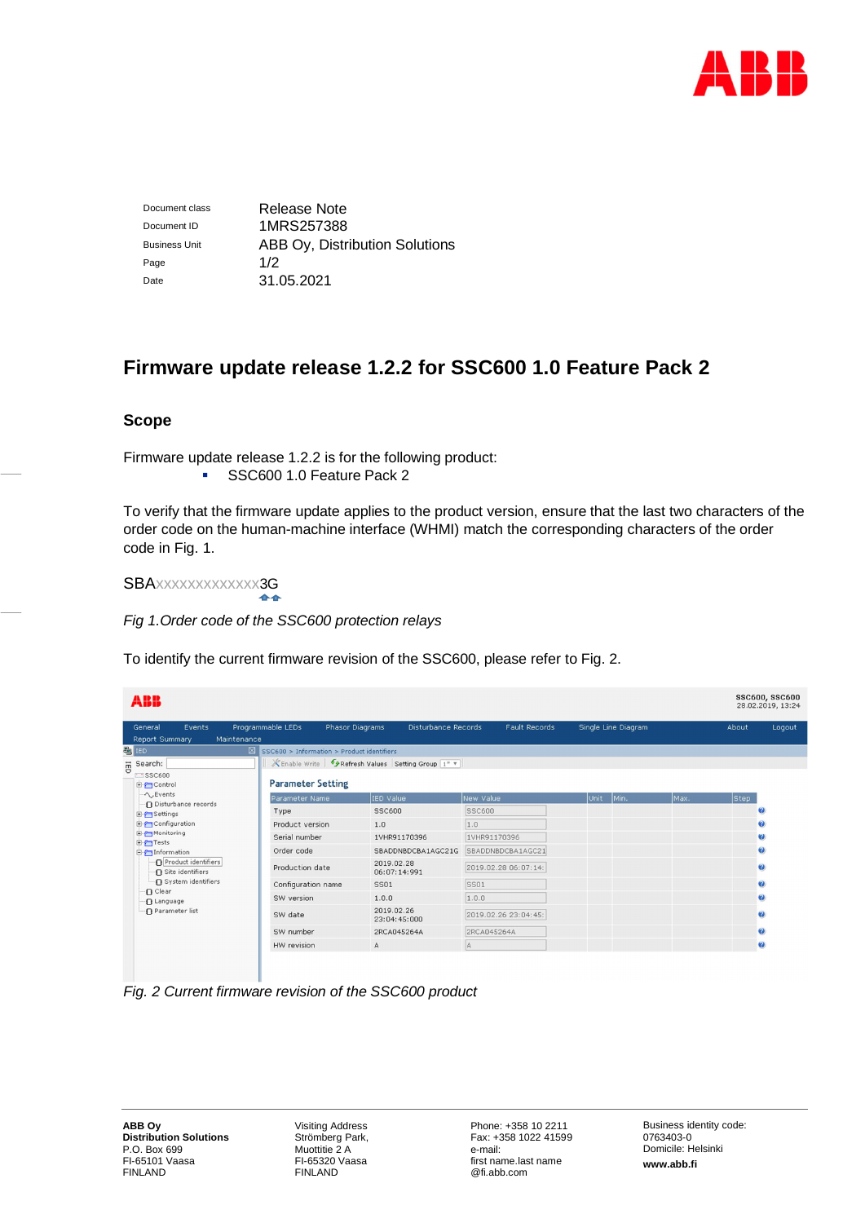

Document class Release Note Document ID 1MRS257388 Business Unit **ABB Oy, Distribution Solutions** Page  $1/2$ Date 31.05.2021

# **Firmware update release 1.2.2 for SSC600 1.0 Feature Pack 2**

## **Scope**

Firmware update release 1.2.2 is for the following product: SSC600 1.0 Feature Pack 2

To verify that the firmware update applies to the product version, ensure that the last two characters of the order code on the human-machine interface (WHMI) match the corresponding characters of the order code in Fig. 1.

SBAxxxxxxxxxxxxx3G

*Fig 1.Order code of the SSC600 protection relays*

To identify the current firmware revision of the SSC600, please refer to Fig. 2.

| ABB                                                                                                                                                                                                                                                                  |                                                        |                                                     |                      |                     |      | <b>SSC600, SSC600</b><br>28.02.2019, 13:24 |              |
|----------------------------------------------------------------------------------------------------------------------------------------------------------------------------------------------------------------------------------------------------------------------|--------------------------------------------------------|-----------------------------------------------------|----------------------|---------------------|------|--------------------------------------------|--------------|
| Events<br>General<br>Maintenance<br>Report Summary                                                                                                                                                                                                                   | Programmable LEDs                                      | Phasor Diagrams<br>Disturbance Records              | <b>Fault Records</b> | Single Line Diagram |      | About                                      | Logout       |
| 题 IED                                                                                                                                                                                                                                                                | $\boxed{2}$ SSC600 > Information > Product identifiers |                                                     |                      |                     |      |                                            |              |
| $\overline{\overline{B}}$ Search:                                                                                                                                                                                                                                    |                                                        | Enable Write   PRefresh Values Setting Group [1* \v |                      |                     |      |                                            |              |
| $-$ SSC600<br>国行Control                                                                                                                                                                                                                                              | <b>Parameter Setting</b>                               |                                                     |                      |                     |      |                                            |              |
| $\sim$ , Events<br>- In Disturbance records<br>E-PSettings<br><b>E</b> -Configuration<br><b>E-P</b> Monitoring<br>田子Tests<br><b>E</b> Information<br>Product identifiers<br>-∩ Site identifiers<br>System identifiers<br>n Clear<br>·n Language<br>-n Parameter list | Parameter Name                                         | IED Value                                           | New Value            | Unit<br>Min.        | Max. | Step                                       |              |
|                                                                                                                                                                                                                                                                      | Type                                                   | <b>SSC600</b>                                       | <b>SSC600</b>        |                     |      |                                            | Ø.           |
|                                                                                                                                                                                                                                                                      | Product version                                        | 1.0                                                 | 1.0                  |                     |      |                                            | Ø.           |
|                                                                                                                                                                                                                                                                      | Serial number                                          | 1VHR91170396                                        | 1VHR91170396         |                     |      |                                            | Ø            |
|                                                                                                                                                                                                                                                                      | Order code                                             | SBADDNBDCBA1AGC21G                                  | SBADDNBDCBA1AGC21    |                     |      |                                            | $\mathbf{Q}$ |
|                                                                                                                                                                                                                                                                      | Production date                                        | 2019.02.28<br>06:07:14:991                          | 2019.02.28 06:07:14: |                     |      |                                            | Ø            |
|                                                                                                                                                                                                                                                                      | Configuration name                                     | <b>SS01</b>                                         | SS01                 |                     |      |                                            | $\omega$     |
|                                                                                                                                                                                                                                                                      | SW version                                             | 1.0.0                                               | 1.0.0                |                     |      |                                            | Ø            |
|                                                                                                                                                                                                                                                                      | SW date                                                | 2019.02.26<br>23:04:45:000                          | 2019.02.26 23:04:45: |                     |      |                                            | Ø            |
|                                                                                                                                                                                                                                                                      | SW number                                              | 2RCA045264A                                         | 2RCA045264A          |                     |      |                                            | Ø            |
|                                                                                                                                                                                                                                                                      | HW revision                                            | A                                                   | A                    |                     |      |                                            | $\bullet$    |
|                                                                                                                                                                                                                                                                      |                                                        |                                                     |                      |                     |      |                                            |              |

*Fig. 2 Current firmware revision of the SSC600 product*

 $\mathcal{L}$ 

Visiting Address Strömberg Park, Muottitie 2 A FI-65320 Vaasa FINLAND

Phone: +358 10 2211 Fax: +358 1022 41599 e-mail: first name.last name @fi.abb.com

Business identity code: 0763403-0 Domicile: Helsinki **www.abb.fi**